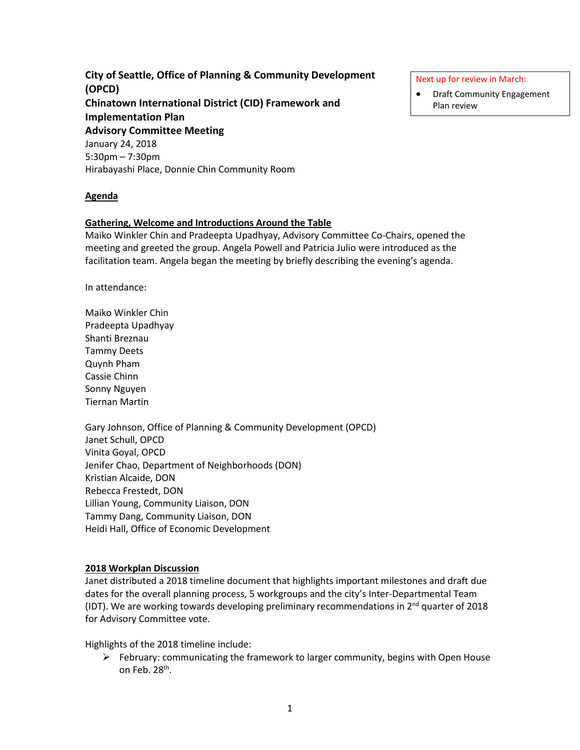**City of Seattle, Office of Planning & Community Development (OPCD) Chinatown International District (CID) Framework and Implementation Plan Advisory Committee Meeting** January 24, 2018 5:30pm – 7:30pm Hirabayashi Place, Donnie Chin Community Room

### **Agenda**

### **Gathering, Welcome and Introductions Around the Table**

Maiko Winkler Chin and Pradeepta Upadhyay, Advisory Committee Co-Chairs, opened the meeting and greeted the group. Angela Powell and Patricia Julio were introduced as the facilitation team. Angela began the meeting by briefly describing the evening's agenda.

In attendance:

Maiko Winkler Chin Pradeepta Upadhyay Shanti Breznau Tammy Deets Quynh Pham Cassie Chinn Sonny Nguyen Tiernan Martin

Gary Johnson, Office of Planning & Community Development (OPCD) Janet Schull, OPCD Vinita Goyal, OPCD Jenifer Chao, Department of Neighborhoods (DON) Kristian Alcaide, DON Rebecca Frestedt, DON Lillian Young, Community Liaison, DON Tammy Dang, Community Liaison, DON Heidi Hall, Office of Economic Development

### **2018 Workplan Discussion**

Janet distributed a 2018 timeline document that highlights important milestones and draft due dates for the overall planning process, 5 workgroups and the city's Inter-Departmental Team (IDT). We are working towards developing preliminary recommendations in  $2<sup>nd</sup>$  quarter of 2018 for Advisory Committee vote.

Highlights of the 2018 timeline include:

 $\triangleright$  February: communicating the framework to larger community, begins with Open House on Feb. 28th.

Next up for review in March:

• Draft Community Engagement Plan review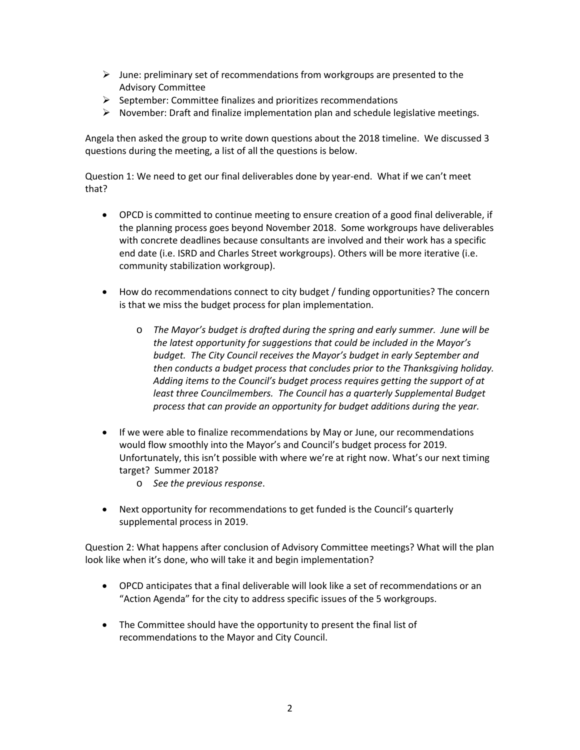- $\triangleright$  June: preliminary set of recommendations from workgroups are presented to the Advisory Committee
- $\triangleright$  September: Committee finalizes and prioritizes recommendations
- $\triangleright$  November: Draft and finalize implementation plan and schedule legislative meetings.

Angela then asked the group to write down questions about the 2018 timeline. We discussed 3 questions during the meeting, a list of all the questions is below.

Question 1: We need to get our final deliverables done by year-end. What if we can't meet that?

- OPCD is committed to continue meeting to ensure creation of a good final deliverable, if the planning process goes beyond November 2018. Some workgroups have deliverables with concrete deadlines because consultants are involved and their work has a specific end date (i.e. ISRD and Charles Street workgroups). Others will be more iterative (i.e. community stabilization workgroup).
- How do recommendations connect to city budget / funding opportunities? The concern is that we miss the budget process for plan implementation.
	- o *The Mayor's budget is drafted during the spring and early summer. June will be the latest opportunity for suggestions that could be included in the Mayor's budget. The City Council receives the Mayor's budget in early September and then conducts a budget process that concludes prior to the Thanksgiving holiday. Adding items to the Council's budget process requires getting the support of at least three Councilmembers. The Council has a quarterly Supplemental Budget process that can provide an opportunity for budget additions during the year.*
- If we were able to finalize recommendations by May or June, our recommendations would flow smoothly into the Mayor's and Council's budget process for 2019. Unfortunately, this isn't possible with where we're at right now. What's our next timing target? Summer 2018?
	- o *See the previous response*.
- Next opportunity for recommendations to get funded is the Council's quarterly supplemental process in 2019.

Question 2: What happens after conclusion of Advisory Committee meetings? What will the plan look like when it's done, who will take it and begin implementation?

- OPCD anticipates that a final deliverable will look like a set of recommendations or an "Action Agenda" for the city to address specific issues of the 5 workgroups.
- The Committee should have the opportunity to present the final list of recommendations to the Mayor and City Council.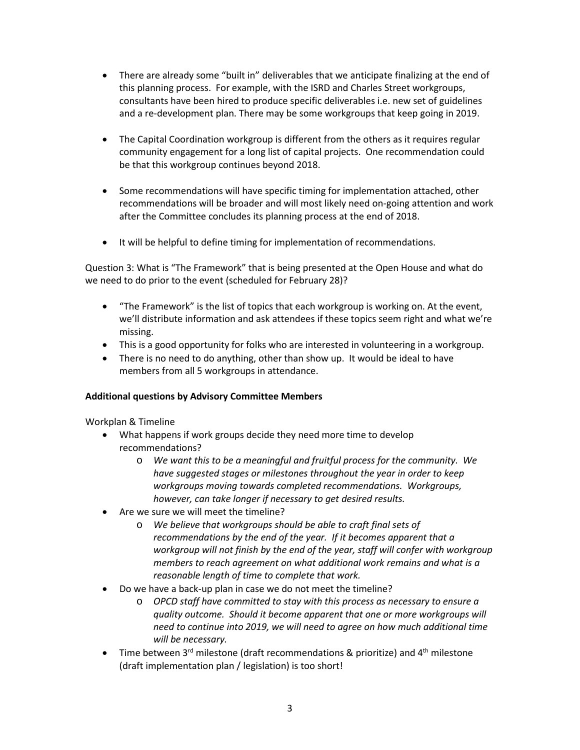- There are already some "built in" deliverables that we anticipate finalizing at the end of this planning process. For example, with the ISRD and Charles Street workgroups, consultants have been hired to produce specific deliverables i.e. new set of guidelines and a re-development plan. There may be some workgroups that keep going in 2019.
- The Capital Coordination workgroup is different from the others as it requires regular community engagement for a long list of capital projects. One recommendation could be that this workgroup continues beyond 2018.
- Some recommendations will have specific timing for implementation attached, other recommendations will be broader and will most likely need on-going attention and work after the Committee concludes its planning process at the end of 2018.
- It will be helpful to define timing for implementation of recommendations.

Question 3: What is "The Framework" that is being presented at the Open House and what do we need to do prior to the event (scheduled for February 28)?

- "The Framework" is the list of topics that each workgroup is working on. At the event, we'll distribute information and ask attendees if these topics seem right and what we're missing.
- This is a good opportunity for folks who are interested in volunteering in a workgroup.
- There is no need to do anything, other than show up. It would be ideal to have members from all 5 workgroups in attendance.

# **Additional questions by Advisory Committee Members**

Workplan & Timeline

- What happens if work groups decide they need more time to develop recommendations?
	- o *We want this to be a meaningful and fruitful process for the community. We have suggested stages or milestones throughout the year in order to keep workgroups moving towards completed recommendations. Workgroups, however, can take longer if necessary to get desired results.*
- Are we sure we will meet the timeline?
	- o *We believe that workgroups should be able to craft final sets of recommendations by the end of the year. If it becomes apparent that a workgroup will not finish by the end of the year, staff will confer with workgroup members to reach agreement on what additional work remains and what is a reasonable length of time to complete that work.*
- Do we have a back-up plan in case we do not meet the timeline?
	- o *OPCD staff have committed to stay with this process as necessary to ensure a quality outcome. Should it become apparent that one or more workgroups will need to continue into 2019, we will need to agree on how much additional time will be necessary.*
- Time between 3<sup>rd</sup> milestone (draft recommendations & prioritize) and 4<sup>th</sup> milestone (draft implementation plan / legislation) is too short!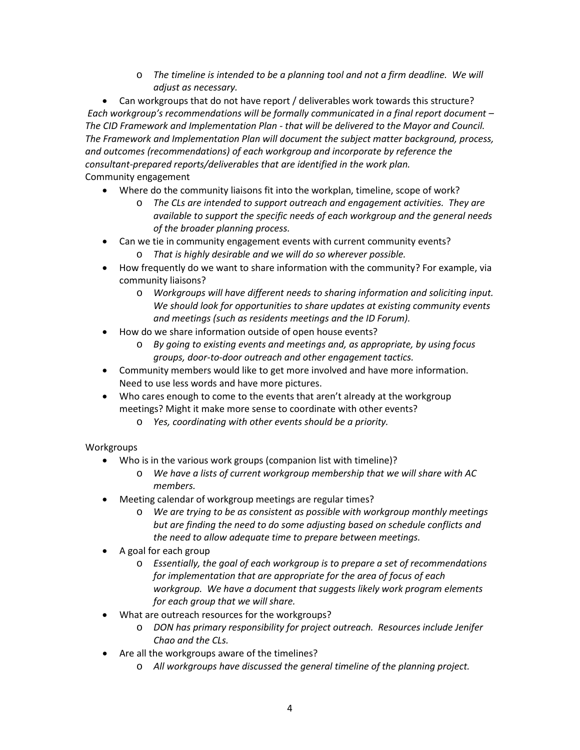o *The timeline is intended to be a planning tool and not a firm deadline. We will adjust as necessary.*

• Can workgroups that do not have report / deliverables work towards this structure? *Each workgroup's recommendations will be formally communicated in a final report document – The CID Framework and Implementation Plan - that will be delivered to the Mayor and Council. The Framework and Implementation Plan will document the subject matter background, process, and outcomes (recommendations) of each workgroup and incorporate by reference the consultant-prepared reports/deliverables that are identified in the work plan.*

# Community engagement

- Where do the community liaisons fit into the workplan, timeline, scope of work?
	- o *The CLs are intended to support outreach and engagement activities. They are available to support the specific needs of each workgroup and the general needs of the broader planning process.*
- Can we tie in community engagement events with current community events?
	- o *That is highly desirable and we will do so wherever possible.*
- How frequently do we want to share information with the community? For example, via community liaisons?
	- o *Workgroups will have different needs to sharing information and soliciting input. We should look for opportunities to share updates at existing community events and meetings (such as residents meetings and the ID Forum).*
- How do we share information outside of open house events?
	- o *By going to existing events and meetings and, as appropriate, by using focus groups, door-to-door outreach and other engagement tactics.*
- Community members would like to get more involved and have more information. Need to use less words and have more pictures.
- Who cares enough to come to the events that aren't already at the workgroup meetings? Might it make more sense to coordinate with other events?
	- o *Yes, coordinating with other events should be a priority.*

# **Workgroups**

- Who is in the various work groups (companion list with timeline)?
	- o *We have a lists of current workgroup membership that we will share with AC members.*
- Meeting calendar of workgroup meetings are regular times?
	- o *We are trying to be as consistent as possible with workgroup monthly meetings but are finding the need to do some adjusting based on schedule conflicts and the need to allow adequate time to prepare between meetings.*
- A goal for each group
	- o *Essentially, the goal of each workgroup is to prepare a set of recommendations for implementation that are appropriate for the area of focus of each workgroup. We have a document that suggests likely work program elements for each group that we will share.*
- What are outreach resources for the workgroups?
	- o *DON has primary responsibility for project outreach. Resources include Jenifer Chao and the CLs.*
- Are all the workgroups aware of the timelines?
	- o *All workgroups have discussed the general timeline of the planning project.*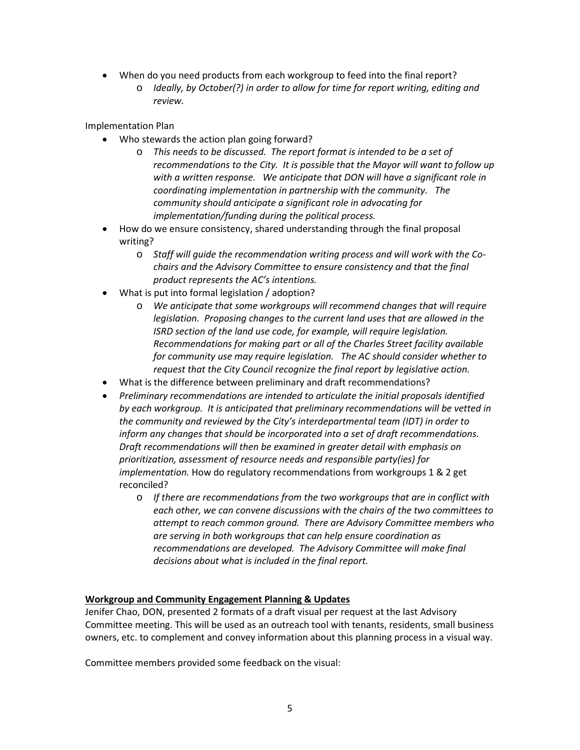- When do you need products from each workgroup to feed into the final report?
	- o *Ideally, by October(?) in order to allow for time for report writing, editing and review.*

Implementation Plan

- Who stewards the action plan going forward?
	- o *This needs to be discussed. The report format is intended to be a set of recommendations to the City. It is possible that the Mayor will want to follow up with a written response. We anticipate that DON will have a significant role in coordinating implementation in partnership with the community. The community should anticipate a significant role in advocating for implementation/funding during the political process.*
- How do we ensure consistency, shared understanding through the final proposal writing?
	- o *Staff will guide the recommendation writing process and will work with the Cochairs and the Advisory Committee to ensure consistency and that the final product represents the AC's intentions.*
- What is put into formal legislation / adoption?
	- o *We anticipate that some workgroups will recommend changes that will require legislation. Proposing changes to the current land uses that are allowed in the ISRD section of the land use code, for example, will require legislation. Recommendations for making part or all of the Charles Street facility available for community use may require legislation. The AC should consider whether to request that the City Council recognize the final report by legislative action.*
- What is the difference between preliminary and draft recommendations?
- *Preliminary recommendations are intended to articulate the initial proposals identified by each workgroup. It is anticipated that preliminary recommendations will be vetted in the community and reviewed by the City's interdepartmental team (IDT) in order to inform any changes that should be incorporated into a set of draft recommendations. Draft recommendations will then be examined in greater detail with emphasis on prioritization, assessment of resource needs and responsible party(ies) for implementation.* How do regulatory recommendations from workgroups 1 & 2 get reconciled?
	- o *If there are recommendations from the two workgroups that are in conflict with each other, we can convene discussions with the chairs of the two committees to attempt to reach common ground. There are Advisory Committee members who are serving in both workgroups that can help ensure coordination as recommendations are developed. The Advisory Committee will make final decisions about what is included in the final report.*

## **Workgroup and Community Engagement Planning & Updates**

Jenifer Chao, DON, presented 2 formats of a draft visual per request at the last Advisory Committee meeting. This will be used as an outreach tool with tenants, residents, small business owners, etc. to complement and convey information about this planning process in a visual way.

Committee members provided some feedback on the visual: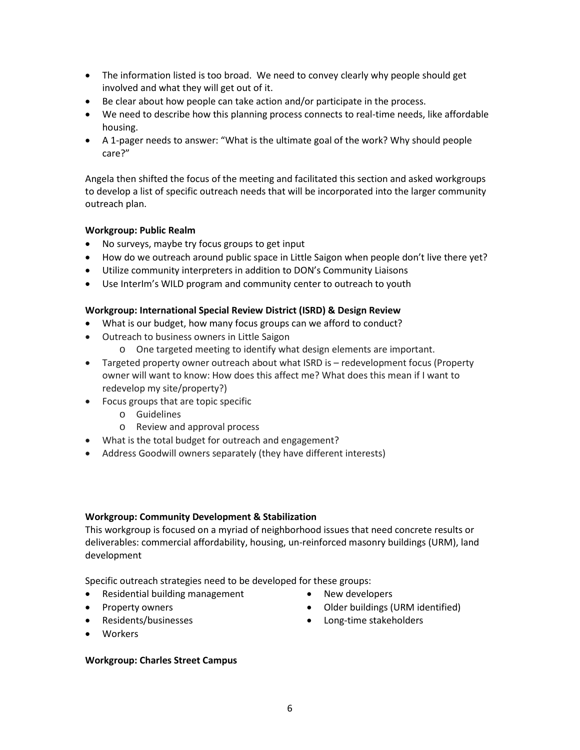- The information listed is too broad. We need to convey clearly why people should get involved and what they will get out of it.
- Be clear about how people can take action and/or participate in the process.
- We need to describe how this planning process connects to real-time needs, like affordable housing.
- A 1-pager needs to answer: "What is the ultimate goal of the work? Why should people care?"

Angela then shifted the focus of the meeting and facilitated this section and asked workgroups to develop a list of specific outreach needs that will be incorporated into the larger community outreach plan.

## **Workgroup: Public Realm**

- No surveys, maybe try focus groups to get input
- How do we outreach around public space in Little Saigon when people don't live there yet?
- Utilize community interpreters in addition to DON's Community Liaisons
- Use InterIm's WILD program and community center to outreach to youth

## **Workgroup: International Special Review District (ISRD) & Design Review**

- What is our budget, how many focus groups can we afford to conduct?
- Outreach to business owners in Little Saigon
	- o One targeted meeting to identify what design elements are important.
- Targeted property owner outreach about what ISRD is redevelopment focus (Property owner will want to know: How does this affect me? What does this mean if I want to redevelop my site/property?)
- Focus groups that are topic specific
	- o Guidelines
	- o Review and approval process
- What is the total budget for outreach and engagement?
- Address Goodwill owners separately (they have different interests)

## **Workgroup: Community Development & Stabilization**

This workgroup is focused on a myriad of neighborhood issues that need concrete results or deliverables: commercial affordability, housing, un-reinforced masonry buildings (URM), land development

Specific outreach strategies need to be developed for these groups:

- Residential building management
- Property owners
- Residents/businesses
- New developers
- Older buildings (URM identified)

• Long-time stakeholders

• Workers

## **Workgroup: Charles Street Campus**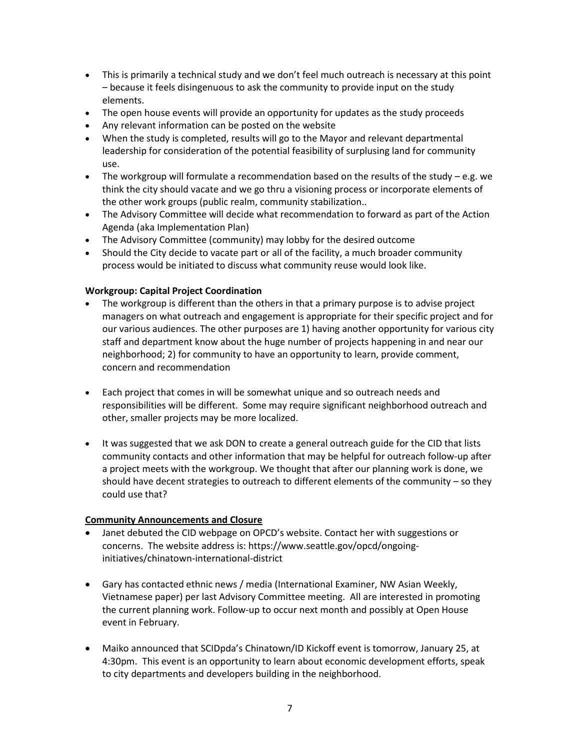- This is primarily a technical study and we don't feel much outreach is necessary at this point – because it feels disingenuous to ask the community to provide input on the study elements.
- The open house events will provide an opportunity for updates as the study proceeds
- Any relevant information can be posted on the website
- When the study is completed, results will go to the Mayor and relevant departmental leadership for consideration of the potential feasibility of surplusing land for community use.
- The workgroup will formulate a recommendation based on the results of the study e.g. we think the city should vacate and we go thru a visioning process or incorporate elements of the other work groups (public realm, community stabilization..
- The Advisory Committee will decide what recommendation to forward as part of the Action Agenda (aka Implementation Plan)
- The Advisory Committee (community) may lobby for the desired outcome
- Should the City decide to vacate part or all of the facility, a much broader community process would be initiated to discuss what community reuse would look like.

## **Workgroup: Capital Project Coordination**

- The workgroup is different than the others in that a primary purpose is to advise project managers on what outreach and engagement is appropriate for their specific project and for our various audiences. The other purposes are 1) having another opportunity for various city staff and department know about the huge number of projects happening in and near our neighborhood; 2) for community to have an opportunity to learn, provide comment, concern and recommendation
- Each project that comes in will be somewhat unique and so outreach needs and responsibilities will be different. Some may require significant neighborhood outreach and other, smaller projects may be more localized.
- It was suggested that we ask DON to create a general outreach guide for the CID that lists community contacts and other information that may be helpful for outreach follow-up after a project meets with the workgroup. We thought that after our planning work is done, we should have decent strategies to outreach to different elements of the community – so they could use that?

## **Community Announcements and Closure**

- Janet debuted the CID webpage on OPCD's website. Contact her with suggestions or concerns. The website address is: https://www.seattle.gov/opcd/ongoinginitiatives/chinatown-international-district
- Gary has contacted ethnic news / media (International Examiner, NW Asian Weekly, Vietnamese paper) per last Advisory Committee meeting. All are interested in promoting the current planning work. Follow-up to occur next month and possibly at Open House event in February.
- Maiko announced that SCIDpda's Chinatown/ID Kickoff event is tomorrow, January 25, at 4:30pm. This event is an opportunity to learn about economic development efforts, speak to city departments and developers building in the neighborhood.